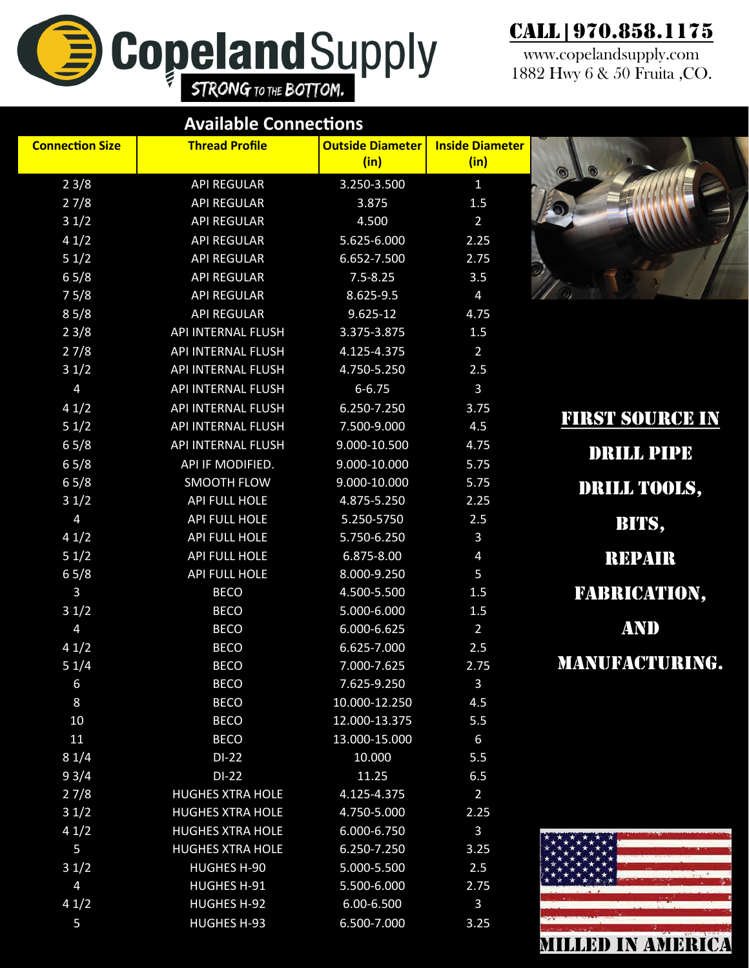## **Copeland Supply** E

## Call | 970.858.1175

www.copelandsupply.com 1882 Hwy 6 & 50 Fruita ,CO.

**MILLED IN AMERICA** 

| <b>Connection Size</b><br><b>Inside Diameter</b><br><b>Outside Diameter</b><br><b>Thread Profile</b><br>(in)<br>(in)<br>$\odot$<br>23/8<br><b>API REGULAR</b><br>3.250-3.500<br>$\mathbf{1}$<br>27/8<br><b>API REGULAR</b><br>3.875<br>1.5<br>31/2<br><b>API REGULAR</b><br>4.500<br>$\overline{2}$<br>41/2<br><b>API REGULAR</b><br>5.625-6.000<br>2.25<br>51/2<br><b>API REGULAR</b><br>2.75<br>6.652-7.500<br>65/8<br><b>API REGULAR</b><br>$7.5 - 8.25$<br>3.5<br>75/8<br><b>API REGULAR</b><br>8.625-9.5<br>$\overline{4}$<br>85/8<br><b>API REGULAR</b><br>$9.625 - 12$<br>4.75<br>23/8<br>API INTERNAL FLUSH<br>3.375-3.875<br>1.5<br>27/8<br><b>API INTERNAL FLUSH</b><br>4.125-4.375<br>$\overline{2}$<br>31/2<br>API INTERNAL FLUSH<br>4.750-5.250<br>2.5<br>$\overline{4}$<br>API INTERNAL FLUSH<br>3<br>$6 - 6.75$<br>41/2<br>API INTERNAL FLUSH<br>6.250-7.250<br>3.75<br><b>FIRST SOURCE IN</b><br>51/2<br>API INTERNAL FLUSH<br>4.5<br>7.500-9.000<br>65/8<br><b>API INTERNAL FLUSH</b><br>9.000-10.500<br>4.75<br><b>DRILL PIPE</b><br>65/8<br>API IF MODIFIED.<br>9.000-10.000<br>5.75<br>65/8<br><b>SMOOTH FLOW</b><br>9.000-10.000<br>5.75<br>DRILL TOOLS,<br>31/2<br>API FULL HOLE<br>2.25<br>4.875-5.250<br>$\overline{4}$<br>API FULL HOLE<br>5.250-5750<br>2.5<br>BITS,<br>41/2<br>API FULL HOLE<br>5.750-6.250<br>$\mathbf{3}$<br>51/2<br>API FULL HOLE<br>6.875-8.00<br>$\overline{4}$<br><b>REPAIR</b><br>65/8<br>API FULL HOLE<br>8.000-9.250<br>5<br><b>FABRICATION,</b><br>$\overline{3}$<br><b>BECO</b><br>4.500-5.500<br>1.5<br>31/2<br><b>BECO</b><br>5.000-6.000<br>1.5<br>AND<br>$\overline{4}$<br><b>BECO</b><br>6.000-6.625<br>$\overline{2}$<br>41/2<br><b>BECO</b><br>6.625-7.000<br>2.5<br>MANUFACTURING.<br>51/4<br><b>BECO</b><br>7.000-7.625<br>2.75<br><b>BECO</b><br>7.625-9.250<br>$\mathbf{3}$<br>6<br>8<br><b>BECO</b><br>10.000-12.250<br>4.5<br>10<br><b>BECO</b><br>12.000-13.375<br>5.5<br>11<br><b>BECO</b><br>13.000-15.000<br>6<br>81/4<br>10.000<br>$DI-22$<br>5.5<br>93/4<br>$DI-22$<br>11.25<br>6.5<br>27/8<br><b>HUGHES XTRA HOLE</b><br>4.125-4.375<br>$\overline{2}$<br>31/2<br><b>HUGHES XTRA HOLE</b><br>4.750-5.000<br>2.25<br>41/2<br><b>HUGHES XTRA HOLE</b><br>6.000-6.750<br>$\mathbf{3}$<br>5<br><b>HUGHES XTRA HOLE</b><br>6.250-7.250<br>3.25<br>31/2<br><b>HUGHES H-90</b><br>5.000-5.500<br>2.5<br>$\overline{4}$<br>HUGHES H-91<br>5.500-6.000<br>2.75<br>41/2<br><b>HUGHES H-92</b><br>6.00-6.500<br>$\mathbf{3}$ | <b>Available Connections</b> |      |             |                    |   |  |  |
|---------------------------------------------------------------------------------------------------------------------------------------------------------------------------------------------------------------------------------------------------------------------------------------------------------------------------------------------------------------------------------------------------------------------------------------------------------------------------------------------------------------------------------------------------------------------------------------------------------------------------------------------------------------------------------------------------------------------------------------------------------------------------------------------------------------------------------------------------------------------------------------------------------------------------------------------------------------------------------------------------------------------------------------------------------------------------------------------------------------------------------------------------------------------------------------------------------------------------------------------------------------------------------------------------------------------------------------------------------------------------------------------------------------------------------------------------------------------------------------------------------------------------------------------------------------------------------------------------------------------------------------------------------------------------------------------------------------------------------------------------------------------------------------------------------------------------------------------------------------------------------------------------------------------------------------------------------------------------------------------------------------------------------------------------------------------------------------------------------------------------------------------------------------------------------------------------------------------------------------------------------------------------------------------------------------------------------------------------------------------------------------------------------------------------------------------------------------------------------------------|------------------------------|------|-------------|--------------------|---|--|--|
|                                                                                                                                                                                                                                                                                                                                                                                                                                                                                                                                                                                                                                                                                                                                                                                                                                                                                                                                                                                                                                                                                                                                                                                                                                                                                                                                                                                                                                                                                                                                                                                                                                                                                                                                                                                                                                                                                                                                                                                                                                                                                                                                                                                                                                                                                                                                                                                                                                                                                             |                              |      |             |                    |   |  |  |
|                                                                                                                                                                                                                                                                                                                                                                                                                                                                                                                                                                                                                                                                                                                                                                                                                                                                                                                                                                                                                                                                                                                                                                                                                                                                                                                                                                                                                                                                                                                                                                                                                                                                                                                                                                                                                                                                                                                                                                                                                                                                                                                                                                                                                                                                                                                                                                                                                                                                                             |                              |      |             |                    |   |  |  |
|                                                                                                                                                                                                                                                                                                                                                                                                                                                                                                                                                                                                                                                                                                                                                                                                                                                                                                                                                                                                                                                                                                                                                                                                                                                                                                                                                                                                                                                                                                                                                                                                                                                                                                                                                                                                                                                                                                                                                                                                                                                                                                                                                                                                                                                                                                                                                                                                                                                                                             |                              |      |             |                    |   |  |  |
|                                                                                                                                                                                                                                                                                                                                                                                                                                                                                                                                                                                                                                                                                                                                                                                                                                                                                                                                                                                                                                                                                                                                                                                                                                                                                                                                                                                                                                                                                                                                                                                                                                                                                                                                                                                                                                                                                                                                                                                                                                                                                                                                                                                                                                                                                                                                                                                                                                                                                             |                              |      |             |                    |   |  |  |
|                                                                                                                                                                                                                                                                                                                                                                                                                                                                                                                                                                                                                                                                                                                                                                                                                                                                                                                                                                                                                                                                                                                                                                                                                                                                                                                                                                                                                                                                                                                                                                                                                                                                                                                                                                                                                                                                                                                                                                                                                                                                                                                                                                                                                                                                                                                                                                                                                                                                                             |                              |      |             |                    |   |  |  |
|                                                                                                                                                                                                                                                                                                                                                                                                                                                                                                                                                                                                                                                                                                                                                                                                                                                                                                                                                                                                                                                                                                                                                                                                                                                                                                                                                                                                                                                                                                                                                                                                                                                                                                                                                                                                                                                                                                                                                                                                                                                                                                                                                                                                                                                                                                                                                                                                                                                                                             |                              |      |             |                    |   |  |  |
|                                                                                                                                                                                                                                                                                                                                                                                                                                                                                                                                                                                                                                                                                                                                                                                                                                                                                                                                                                                                                                                                                                                                                                                                                                                                                                                                                                                                                                                                                                                                                                                                                                                                                                                                                                                                                                                                                                                                                                                                                                                                                                                                                                                                                                                                                                                                                                                                                                                                                             |                              |      |             |                    |   |  |  |
|                                                                                                                                                                                                                                                                                                                                                                                                                                                                                                                                                                                                                                                                                                                                                                                                                                                                                                                                                                                                                                                                                                                                                                                                                                                                                                                                                                                                                                                                                                                                                                                                                                                                                                                                                                                                                                                                                                                                                                                                                                                                                                                                                                                                                                                                                                                                                                                                                                                                                             |                              |      |             |                    |   |  |  |
|                                                                                                                                                                                                                                                                                                                                                                                                                                                                                                                                                                                                                                                                                                                                                                                                                                                                                                                                                                                                                                                                                                                                                                                                                                                                                                                                                                                                                                                                                                                                                                                                                                                                                                                                                                                                                                                                                                                                                                                                                                                                                                                                                                                                                                                                                                                                                                                                                                                                                             |                              |      |             |                    |   |  |  |
|                                                                                                                                                                                                                                                                                                                                                                                                                                                                                                                                                                                                                                                                                                                                                                                                                                                                                                                                                                                                                                                                                                                                                                                                                                                                                                                                                                                                                                                                                                                                                                                                                                                                                                                                                                                                                                                                                                                                                                                                                                                                                                                                                                                                                                                                                                                                                                                                                                                                                             |                              |      |             |                    |   |  |  |
|                                                                                                                                                                                                                                                                                                                                                                                                                                                                                                                                                                                                                                                                                                                                                                                                                                                                                                                                                                                                                                                                                                                                                                                                                                                                                                                                                                                                                                                                                                                                                                                                                                                                                                                                                                                                                                                                                                                                                                                                                                                                                                                                                                                                                                                                                                                                                                                                                                                                                             |                              |      |             |                    |   |  |  |
|                                                                                                                                                                                                                                                                                                                                                                                                                                                                                                                                                                                                                                                                                                                                                                                                                                                                                                                                                                                                                                                                                                                                                                                                                                                                                                                                                                                                                                                                                                                                                                                                                                                                                                                                                                                                                                                                                                                                                                                                                                                                                                                                                                                                                                                                                                                                                                                                                                                                                             |                              |      |             |                    |   |  |  |
|                                                                                                                                                                                                                                                                                                                                                                                                                                                                                                                                                                                                                                                                                                                                                                                                                                                                                                                                                                                                                                                                                                                                                                                                                                                                                                                                                                                                                                                                                                                                                                                                                                                                                                                                                                                                                                                                                                                                                                                                                                                                                                                                                                                                                                                                                                                                                                                                                                                                                             |                              |      |             |                    |   |  |  |
|                                                                                                                                                                                                                                                                                                                                                                                                                                                                                                                                                                                                                                                                                                                                                                                                                                                                                                                                                                                                                                                                                                                                                                                                                                                                                                                                                                                                                                                                                                                                                                                                                                                                                                                                                                                                                                                                                                                                                                                                                                                                                                                                                                                                                                                                                                                                                                                                                                                                                             |                              |      |             |                    |   |  |  |
|                                                                                                                                                                                                                                                                                                                                                                                                                                                                                                                                                                                                                                                                                                                                                                                                                                                                                                                                                                                                                                                                                                                                                                                                                                                                                                                                                                                                                                                                                                                                                                                                                                                                                                                                                                                                                                                                                                                                                                                                                                                                                                                                                                                                                                                                                                                                                                                                                                                                                             |                              |      |             |                    |   |  |  |
|                                                                                                                                                                                                                                                                                                                                                                                                                                                                                                                                                                                                                                                                                                                                                                                                                                                                                                                                                                                                                                                                                                                                                                                                                                                                                                                                                                                                                                                                                                                                                                                                                                                                                                                                                                                                                                                                                                                                                                                                                                                                                                                                                                                                                                                                                                                                                                                                                                                                                             |                              |      |             |                    |   |  |  |
|                                                                                                                                                                                                                                                                                                                                                                                                                                                                                                                                                                                                                                                                                                                                                                                                                                                                                                                                                                                                                                                                                                                                                                                                                                                                                                                                                                                                                                                                                                                                                                                                                                                                                                                                                                                                                                                                                                                                                                                                                                                                                                                                                                                                                                                                                                                                                                                                                                                                                             |                              |      |             |                    |   |  |  |
|                                                                                                                                                                                                                                                                                                                                                                                                                                                                                                                                                                                                                                                                                                                                                                                                                                                                                                                                                                                                                                                                                                                                                                                                                                                                                                                                                                                                                                                                                                                                                                                                                                                                                                                                                                                                                                                                                                                                                                                                                                                                                                                                                                                                                                                                                                                                                                                                                                                                                             |                              |      |             |                    |   |  |  |
|                                                                                                                                                                                                                                                                                                                                                                                                                                                                                                                                                                                                                                                                                                                                                                                                                                                                                                                                                                                                                                                                                                                                                                                                                                                                                                                                                                                                                                                                                                                                                                                                                                                                                                                                                                                                                                                                                                                                                                                                                                                                                                                                                                                                                                                                                                                                                                                                                                                                                             |                              |      |             |                    |   |  |  |
|                                                                                                                                                                                                                                                                                                                                                                                                                                                                                                                                                                                                                                                                                                                                                                                                                                                                                                                                                                                                                                                                                                                                                                                                                                                                                                                                                                                                                                                                                                                                                                                                                                                                                                                                                                                                                                                                                                                                                                                                                                                                                                                                                                                                                                                                                                                                                                                                                                                                                             |                              |      |             |                    |   |  |  |
|                                                                                                                                                                                                                                                                                                                                                                                                                                                                                                                                                                                                                                                                                                                                                                                                                                                                                                                                                                                                                                                                                                                                                                                                                                                                                                                                                                                                                                                                                                                                                                                                                                                                                                                                                                                                                                                                                                                                                                                                                                                                                                                                                                                                                                                                                                                                                                                                                                                                                             |                              |      |             |                    |   |  |  |
|                                                                                                                                                                                                                                                                                                                                                                                                                                                                                                                                                                                                                                                                                                                                                                                                                                                                                                                                                                                                                                                                                                                                                                                                                                                                                                                                                                                                                                                                                                                                                                                                                                                                                                                                                                                                                                                                                                                                                                                                                                                                                                                                                                                                                                                                                                                                                                                                                                                                                             |                              |      |             |                    |   |  |  |
|                                                                                                                                                                                                                                                                                                                                                                                                                                                                                                                                                                                                                                                                                                                                                                                                                                                                                                                                                                                                                                                                                                                                                                                                                                                                                                                                                                                                                                                                                                                                                                                                                                                                                                                                                                                                                                                                                                                                                                                                                                                                                                                                                                                                                                                                                                                                                                                                                                                                                             |                              |      |             |                    |   |  |  |
|                                                                                                                                                                                                                                                                                                                                                                                                                                                                                                                                                                                                                                                                                                                                                                                                                                                                                                                                                                                                                                                                                                                                                                                                                                                                                                                                                                                                                                                                                                                                                                                                                                                                                                                                                                                                                                                                                                                                                                                                                                                                                                                                                                                                                                                                                                                                                                                                                                                                                             |                              |      |             |                    |   |  |  |
|                                                                                                                                                                                                                                                                                                                                                                                                                                                                                                                                                                                                                                                                                                                                                                                                                                                                                                                                                                                                                                                                                                                                                                                                                                                                                                                                                                                                                                                                                                                                                                                                                                                                                                                                                                                                                                                                                                                                                                                                                                                                                                                                                                                                                                                                                                                                                                                                                                                                                             |                              |      |             |                    |   |  |  |
|                                                                                                                                                                                                                                                                                                                                                                                                                                                                                                                                                                                                                                                                                                                                                                                                                                                                                                                                                                                                                                                                                                                                                                                                                                                                                                                                                                                                                                                                                                                                                                                                                                                                                                                                                                                                                                                                                                                                                                                                                                                                                                                                                                                                                                                                                                                                                                                                                                                                                             |                              |      |             |                    |   |  |  |
|                                                                                                                                                                                                                                                                                                                                                                                                                                                                                                                                                                                                                                                                                                                                                                                                                                                                                                                                                                                                                                                                                                                                                                                                                                                                                                                                                                                                                                                                                                                                                                                                                                                                                                                                                                                                                                                                                                                                                                                                                                                                                                                                                                                                                                                                                                                                                                                                                                                                                             |                              |      |             |                    |   |  |  |
|                                                                                                                                                                                                                                                                                                                                                                                                                                                                                                                                                                                                                                                                                                                                                                                                                                                                                                                                                                                                                                                                                                                                                                                                                                                                                                                                                                                                                                                                                                                                                                                                                                                                                                                                                                                                                                                                                                                                                                                                                                                                                                                                                                                                                                                                                                                                                                                                                                                                                             |                              |      |             |                    |   |  |  |
|                                                                                                                                                                                                                                                                                                                                                                                                                                                                                                                                                                                                                                                                                                                                                                                                                                                                                                                                                                                                                                                                                                                                                                                                                                                                                                                                                                                                                                                                                                                                                                                                                                                                                                                                                                                                                                                                                                                                                                                                                                                                                                                                                                                                                                                                                                                                                                                                                                                                                             |                              |      |             |                    |   |  |  |
|                                                                                                                                                                                                                                                                                                                                                                                                                                                                                                                                                                                                                                                                                                                                                                                                                                                                                                                                                                                                                                                                                                                                                                                                                                                                                                                                                                                                                                                                                                                                                                                                                                                                                                                                                                                                                                                                                                                                                                                                                                                                                                                                                                                                                                                                                                                                                                                                                                                                                             |                              |      |             |                    |   |  |  |
|                                                                                                                                                                                                                                                                                                                                                                                                                                                                                                                                                                                                                                                                                                                                                                                                                                                                                                                                                                                                                                                                                                                                                                                                                                                                                                                                                                                                                                                                                                                                                                                                                                                                                                                                                                                                                                                                                                                                                                                                                                                                                                                                                                                                                                                                                                                                                                                                                                                                                             |                              |      |             |                    |   |  |  |
|                                                                                                                                                                                                                                                                                                                                                                                                                                                                                                                                                                                                                                                                                                                                                                                                                                                                                                                                                                                                                                                                                                                                                                                                                                                                                                                                                                                                                                                                                                                                                                                                                                                                                                                                                                                                                                                                                                                                                                                                                                                                                                                                                                                                                                                                                                                                                                                                                                                                                             |                              |      |             |                    |   |  |  |
|                                                                                                                                                                                                                                                                                                                                                                                                                                                                                                                                                                                                                                                                                                                                                                                                                                                                                                                                                                                                                                                                                                                                                                                                                                                                                                                                                                                                                                                                                                                                                                                                                                                                                                                                                                                                                                                                                                                                                                                                                                                                                                                                                                                                                                                                                                                                                                                                                                                                                             |                              |      |             |                    |   |  |  |
|                                                                                                                                                                                                                                                                                                                                                                                                                                                                                                                                                                                                                                                                                                                                                                                                                                                                                                                                                                                                                                                                                                                                                                                                                                                                                                                                                                                                                                                                                                                                                                                                                                                                                                                                                                                                                                                                                                                                                                                                                                                                                                                                                                                                                                                                                                                                                                                                                                                                                             |                              |      |             |                    |   |  |  |
|                                                                                                                                                                                                                                                                                                                                                                                                                                                                                                                                                                                                                                                                                                                                                                                                                                                                                                                                                                                                                                                                                                                                                                                                                                                                                                                                                                                                                                                                                                                                                                                                                                                                                                                                                                                                                                                                                                                                                                                                                                                                                                                                                                                                                                                                                                                                                                                                                                                                                             |                              |      |             |                    |   |  |  |
|                                                                                                                                                                                                                                                                                                                                                                                                                                                                                                                                                                                                                                                                                                                                                                                                                                                                                                                                                                                                                                                                                                                                                                                                                                                                                                                                                                                                                                                                                                                                                                                                                                                                                                                                                                                                                                                                                                                                                                                                                                                                                                                                                                                                                                                                                                                                                                                                                                                                                             |                              |      |             |                    |   |  |  |
|                                                                                                                                                                                                                                                                                                                                                                                                                                                                                                                                                                                                                                                                                                                                                                                                                                                                                                                                                                                                                                                                                                                                                                                                                                                                                                                                                                                                                                                                                                                                                                                                                                                                                                                                                                                                                                                                                                                                                                                                                                                                                                                                                                                                                                                                                                                                                                                                                                                                                             |                              |      |             |                    |   |  |  |
|                                                                                                                                                                                                                                                                                                                                                                                                                                                                                                                                                                                                                                                                                                                                                                                                                                                                                                                                                                                                                                                                                                                                                                                                                                                                                                                                                                                                                                                                                                                                                                                                                                                                                                                                                                                                                                                                                                                                                                                                                                                                                                                                                                                                                                                                                                                                                                                                                                                                                             |                              |      |             |                    |   |  |  |
|                                                                                                                                                                                                                                                                                                                                                                                                                                                                                                                                                                                                                                                                                                                                                                                                                                                                                                                                                                                                                                                                                                                                                                                                                                                                                                                                                                                                                                                                                                                                                                                                                                                                                                                                                                                                                                                                                                                                                                                                                                                                                                                                                                                                                                                                                                                                                                                                                                                                                             |                              |      |             |                    |   |  |  |
|                                                                                                                                                                                                                                                                                                                                                                                                                                                                                                                                                                                                                                                                                                                                                                                                                                                                                                                                                                                                                                                                                                                                                                                                                                                                                                                                                                                                                                                                                                                                                                                                                                                                                                                                                                                                                                                                                                                                                                                                                                                                                                                                                                                                                                                                                                                                                                                                                                                                                             |                              |      |             |                    |   |  |  |
|                                                                                                                                                                                                                                                                                                                                                                                                                                                                                                                                                                                                                                                                                                                                                                                                                                                                                                                                                                                                                                                                                                                                                                                                                                                                                                                                                                                                                                                                                                                                                                                                                                                                                                                                                                                                                                                                                                                                                                                                                                                                                                                                                                                                                                                                                                                                                                                                                                                                                             |                              |      |             |                    |   |  |  |
|                                                                                                                                                                                                                                                                                                                                                                                                                                                                                                                                                                                                                                                                                                                                                                                                                                                                                                                                                                                                                                                                                                                                                                                                                                                                                                                                                                                                                                                                                                                                                                                                                                                                                                                                                                                                                                                                                                                                                                                                                                                                                                                                                                                                                                                                                                                                                                                                                                                                                             |                              | 3.25 | 6.500-7.000 | <b>HUGHES H-93</b> | 5 |  |  |